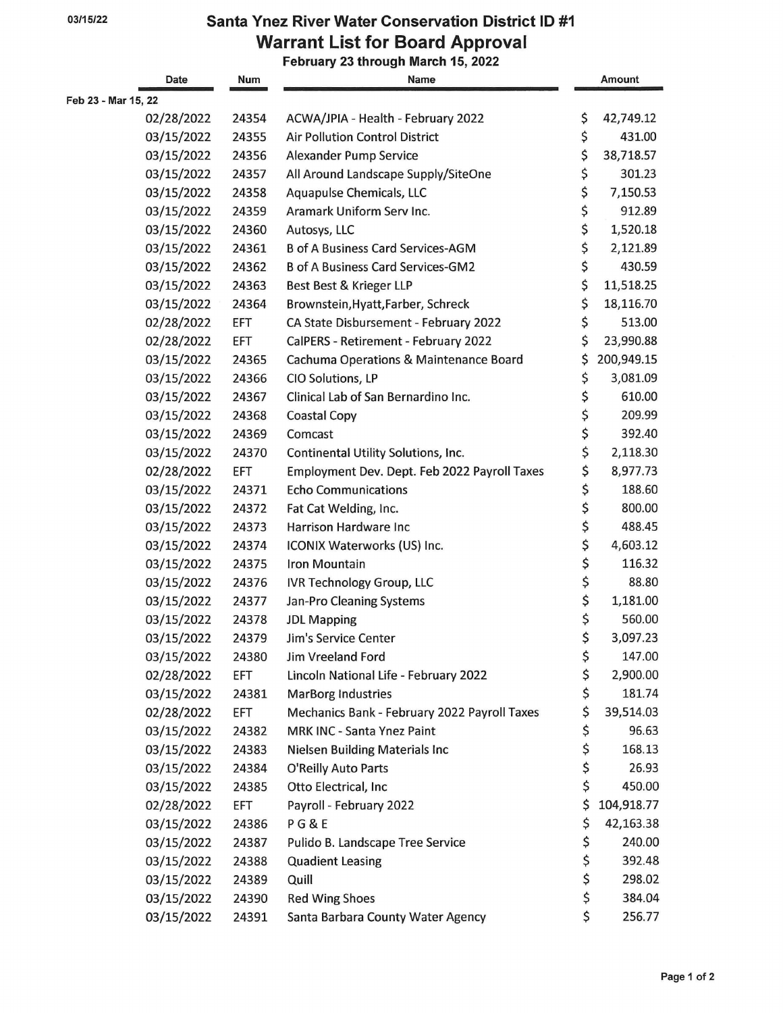## 03/15/22 **Santa Ynez River Water Conservation District ID #1 Warrant List for Board Approval**

**February 23 through March 15, 2022** 

| Date                | Num        | <b>Name</b>                                  | Amount           |
|---------------------|------------|----------------------------------------------|------------------|
| Feb 23 - Mar 15, 22 |            |                                              |                  |
| 02/28/2022          | 24354      | ACWA/JPIA - Health - February 2022           | \$<br>42,749.12  |
| 03/15/2022          | 24355      | <b>Air Pollution Control District</b>        | \$<br>431.00     |
| 03/15/2022          | 24356      | <b>Alexander Pump Service</b>                | \$<br>38,718.57  |
| 03/15/2022          | 24357      | All Around Landscape Supply/SiteOne          | \$<br>301.23     |
| 03/15/2022          | 24358      | Aquapulse Chemicals, LLC                     | \$<br>7,150.53   |
| 03/15/2022          | 24359      | Aramark Uniform Serv Inc.                    | \$<br>912.89     |
| 03/15/2022          | 24360      | Autosys, LLC                                 | \$<br>1,520.18   |
| 03/15/2022          | 24361      | <b>B of A Business Card Services-AGM</b>     | \$<br>2,121.89   |
| 03/15/2022          | 24362      | <b>B of A Business Card Services-GM2</b>     | \$<br>430.59     |
| 03/15/2022          | 24363      | Best Best & Krieger LLP                      | \$<br>11,518.25  |
| 03/15/2022          | 24364      | Brownstein, Hyatt, Farber, Schreck           | \$<br>18,116.70  |
| 02/28/2022          | EFT        | CA State Disbursement - February 2022        | \$<br>513.00     |
| 02/28/2022          | <b>EFT</b> | CalPERS - Retirement - February 2022         | \$<br>23,990.88  |
| 03/15/2022          | 24365      | Cachuma Operations & Maintenance Board       | \$<br>200,949.15 |
| 03/15/2022          | 24366      | CIO Solutions, LP                            | \$<br>3,081.09   |
| 03/15/2022          | 24367      | Clinical Lab of San Bernardino Inc.          | \$<br>610.00     |
| 03/15/2022          | 24368      | <b>Coastal Copy</b>                          | \$<br>209.99     |
| 03/15/2022          | 24369      | Comcast                                      | \$<br>392.40     |
| 03/15/2022          | 24370      | Continental Utility Solutions, Inc.          | \$<br>2,118.30   |
| 02/28/2022          | EFT        | Employment Dev. Dept. Feb 2022 Payroll Taxes | \$<br>8,977.73   |
| 03/15/2022          | 24371      | <b>Echo Communications</b>                   | \$<br>188.60     |
| 03/15/2022          | 24372      | Fat Cat Welding, Inc.                        | \$<br>800.00     |
| 03/15/2022          | 24373      | Harrison Hardware Inc                        | \$<br>488.45     |
| 03/15/2022          | 24374      | ICONIX Waterworks (US) Inc.                  | \$<br>4,603.12   |
| 03/15/2022          | 24375      | Iron Mountain                                | \$<br>116.32     |
| 03/15/2022          | 24376      | <b>IVR Technology Group, LLC</b>             | \$<br>88.80      |
| 03/15/2022          | 24377      | Jan-Pro Cleaning Systems                     | \$<br>1,181.00   |
| 03/15/2022          | 24378      | <b>JDL Mapping</b>                           | \$<br>560.00     |
| 03/15/2022          | 24379      | Jim's Service Center                         | \$<br>3,097.23   |
| 03/15/2022          | 24380      | Jim Vreeland Ford                            | \$<br>147.00     |
| 02/28/2022          | EFT        | Lincoln National Life - February 2022        | \$<br>2,900.00   |
| 03/15/2022          | 24381      | <b>MarBorg Industries</b>                    | \$<br>181.74     |
| 02/28/2022          | EFT        | Mechanics Bank - February 2022 Payroll Taxes | \$<br>39,514.03  |
| 03/15/2022          | 24382      | MRK INC - Santa Ynez Paint                   | \$<br>96.63      |
| 03/15/2022          | 24383      | <b>Nielsen Building Materials Inc</b>        | \$<br>168.13     |
| 03/15/2022          | 24384      | O'Reilly Auto Parts                          | \$<br>26.93      |
| 03/15/2022          | 24385      | Otto Electrical, Inc                         | \$<br>450.00     |
| 02/28/2022          | EFT        | Payroll - February 2022                      | \$<br>104,918.77 |
| 03/15/2022          | 24386      | PG&E                                         | \$<br>42,163.38  |
| 03/15/2022          | 24387      | Pulido B. Landscape Tree Service             | \$<br>240.00     |
| 03/15/2022          | 24388      | <b>Quadient Leasing</b>                      | \$<br>392.48     |
| 03/15/2022          | 24389      | Quill                                        | \$<br>298.02     |
| 03/15/2022          | 24390      | <b>Red Wing Shoes</b>                        | \$<br>384.04     |
| 03/15/2022          | 24391      | Santa Barbara County Water Agency            | \$<br>256.77     |
|                     |            |                                              |                  |